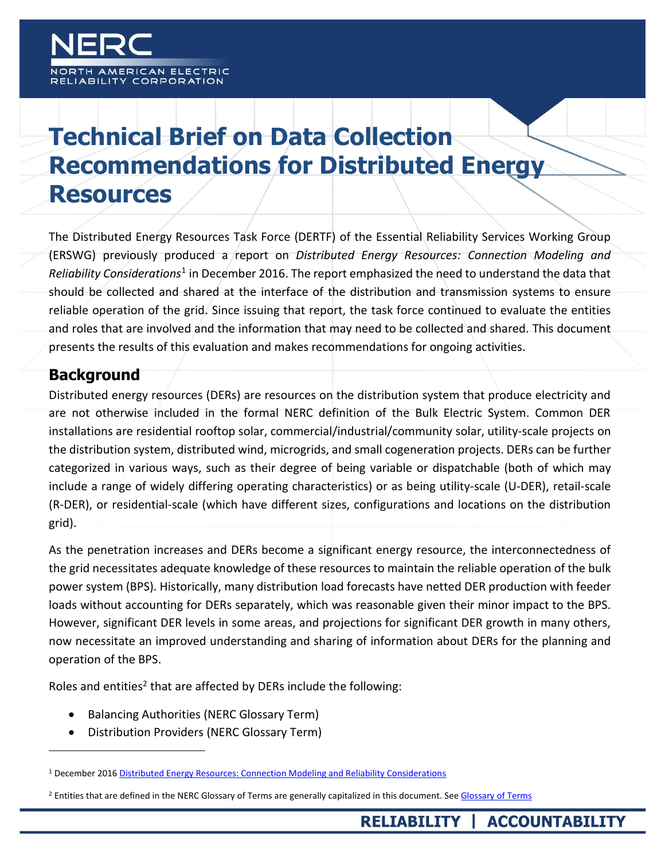H AMERICAN ELECTRIC ABILITY CORPORATION

# **Technical Brief on Data Collection Recommendations for Distributed Energy Resources**

The Distributed Energy Resources Task Force (DERTF) of the Essential Reliability Services Working Group (ERSWG) previously produced a report on *Distributed Energy Resources: Connection Modeling and*  Reliability Considerations<sup>1</sup> in December 2016. The report emphasized the need to understand the data that should be collected and shared at the interface of the distribution and transmission systems to ensure reliable operation of the grid. Since issuing that report, the task force continued to evaluate the entities and roles that are involved and the information that may need to be collected and shared. This document presents the results of this evaluation and makes recommendations for ongoing activities.

### **Background**

 $\overline{a}$ 

Distributed energy resources (DERs) are resources on the distribution system that produce electricity and are not otherwise included in the formal NERC definition of the Bulk Electric System. Common DER installations are residential rooftop solar, commercial/industrial/community solar, utility-scale projects on the distribution system, distributed wind, microgrids, and small cogeneration projects. DERs can be further categorized in various ways, such as their degree of being variable or dispatchable (both of which may include a range of widely differing operating characteristics) or as being utility-scale (U-DER), retail-scale (R-DER), or residential-scale (which have different sizes, configurations and locations on the distribution grid).

As the penetration increases and DERs become a significant energy resource, the interconnectedness of the grid necessitates adequate knowledge of these resources to maintain the reliable operation of the bulk power system (BPS). Historically, many distribution load forecasts have netted DER production with feeder loads without accounting for DERs separately, which was reasonable given their minor impact to the BPS. However, significant DER levels in some areas, and projections for significant DER growth in many others, now necessitate an improved understanding and sharing of information about DERs for the planning and operation of the BPS.

Roles and entities<sup>2</sup> that are affected by DERs include the following:

- Balancing Authorities (NERC Glossary Term)
- Distribution Providers (NERC Glossary Term)

<sup>1</sup> December 2016 [Distributed Energy Resources: Connection Modeling and Reliability Considerations](https://www.nerc.com/comm/Other/essntlrlbltysrvcstskfrcDL/Distributed_Energy_Resources_Report.pdf)

<sup>&</sup>lt;sup>2</sup> Entities that are defined in the NERC Glossary of Terms are generally capitalized in this document. Se[e Glossary of Terms](http://www.nerc.com/pa/Stand/Glossary%20of%20Terms/Glossary_of_Terms.pdf)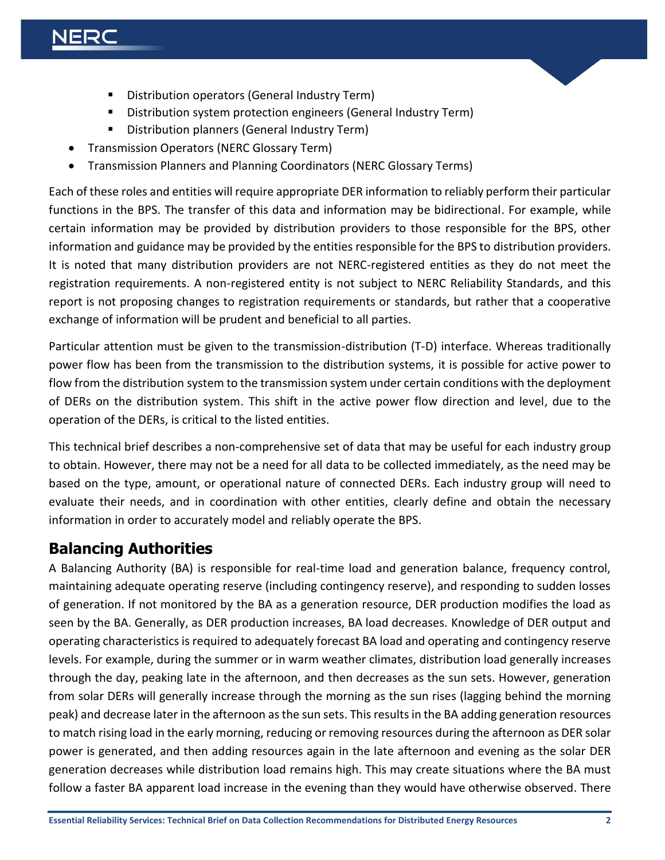## ERC

- **Distribution operators (General Industry Term)**
- Distribution system protection engineers (General Industry Term)
- **Distribution planners (General Industry Term)**
- Transmission Operators (NERC Glossary Term)
- Transmission Planners and Planning Coordinators (NERC Glossary Terms)

Each of these roles and entities will require appropriate DER information to reliably perform their particular functions in the BPS. The transfer of this data and information may be bidirectional. For example, while certain information may be provided by distribution providers to those responsible for the BPS, other information and guidance may be provided by the entities responsible for the BPS to distribution providers. It is noted that many distribution providers are not NERC-registered entities as they do not meet the registration requirements. A non-registered entity is not subject to NERC Reliability Standards, and this report is not proposing changes to registration requirements or standards, but rather that a cooperative exchange of information will be prudent and beneficial to all parties.

Particular attention must be given to the transmission-distribution (T-D) interface. Whereas traditionally power flow has been from the transmission to the distribution systems, it is possible for active power to flow from the distribution system to the transmission system under certain conditions with the deployment of DERs on the distribution system. This shift in the active power flow direction and level, due to the operation of the DERs, is critical to the listed entities.

This technical brief describes a non-comprehensive set of data that may be useful for each industry group to obtain. However, there may not be a need for all data to be collected immediately, as the need may be based on the type, amount, or operational nature of connected DERs. Each industry group will need to evaluate their needs, and in coordination with other entities, clearly define and obtain the necessary information in order to accurately model and reliably operate the BPS.

### **Balancing Authorities**

A Balancing Authority (BA) is responsible for real-time load and generation balance, frequency control, maintaining adequate operating reserve (including contingency reserve), and responding to sudden losses of generation. If not monitored by the BA as a generation resource, DER production modifies the load as seen by the BA. Generally, as DER production increases, BA load decreases. Knowledge of DER output and operating characteristics is required to adequately forecast BA load and operating and contingency reserve levels. For example, during the summer or in warm weather climates, distribution load generally increases through the day, peaking late in the afternoon, and then decreases as the sun sets. However, generation from solar DERs will generally increase through the morning as the sun rises (lagging behind the morning peak) and decrease later in the afternoon as the sun sets. This resultsin the BA adding generation resources to match rising load in the early morning, reducing or removing resources during the afternoon as DER solar power is generated, and then adding resources again in the late afternoon and evening as the solar DER generation decreases while distribution load remains high. This may create situations where the BA must follow a faster BA apparent load increase in the evening than they would have otherwise observed. There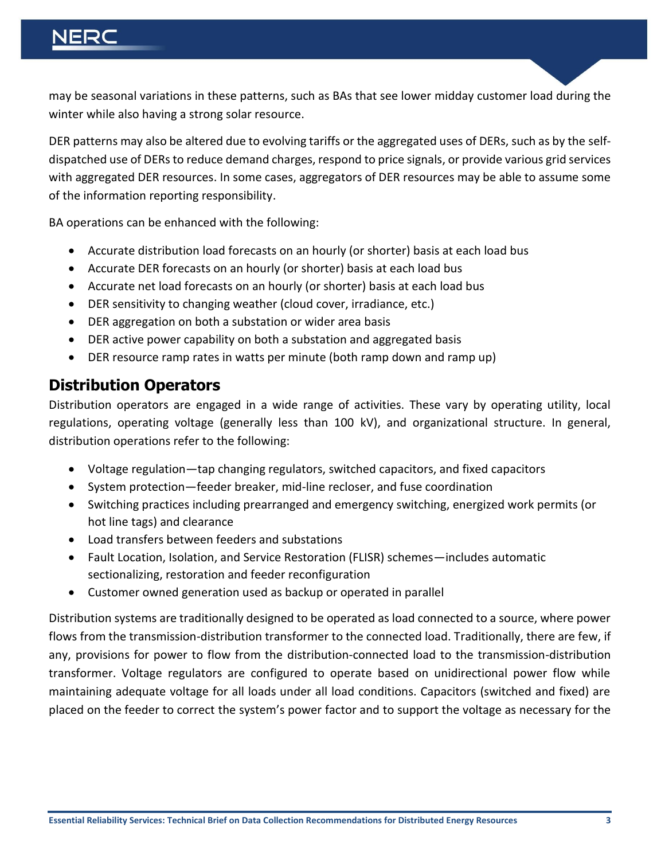may be seasonal variations in these patterns, such as BAs that see lower midday customer load during the winter while also having a strong solar resource.

DER patterns may also be altered due to evolving tariffs or the aggregated uses of DERs, such as by the selfdispatched use of DERs to reduce demand charges, respond to price signals, or provide various grid services with aggregated DER resources. In some cases, aggregators of DER resources may be able to assume some of the information reporting responsibility.

BA operations can be enhanced with the following:

- Accurate distribution load forecasts on an hourly (or shorter) basis at each load bus
- Accurate DER forecasts on an hourly (or shorter) basis at each load bus
- Accurate net load forecasts on an hourly (or shorter) basis at each load bus
- DER sensitivity to changing weather (cloud cover, irradiance, etc.)
- DER aggregation on both a substation or wider area basis
- DER active power capability on both a substation and aggregated basis
- DER resource ramp rates in watts per minute (both ramp down and ramp up)

#### **Distribution Operators**

Distribution operators are engaged in a wide range of activities. These vary by operating utility, local regulations, operating voltage (generally less than 100 kV), and organizational structure. In general, distribution operations refer to the following:

- Voltage regulation—tap changing regulators, switched capacitors, and fixed capacitors
- System protection—feeder breaker, mid-line recloser, and fuse coordination
- Switching practices including prearranged and emergency switching, energized work permits (or hot line tags) and clearance
- Load transfers between feeders and substations
- Fault Location, Isolation, and Service Restoration (FLISR) schemes—includes automatic sectionalizing, restoration and feeder reconfiguration
- Customer owned generation used as backup or operated in parallel

Distribution systems are traditionally designed to be operated as load connected to a source, where power flows from the transmission-distribution transformer to the connected load. Traditionally, there are few, if any, provisions for power to flow from the distribution-connected load to the transmission-distribution transformer. Voltage regulators are configured to operate based on unidirectional power flow while maintaining adequate voltage for all loads under all load conditions. Capacitors (switched and fixed) are placed on the feeder to correct the system's power factor and to support the voltage as necessary for the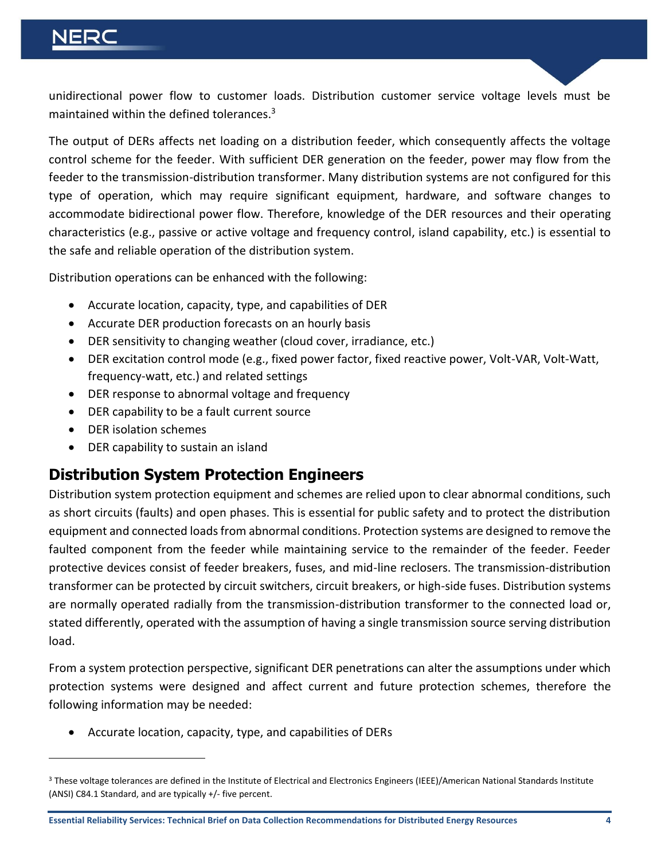### ERC

unidirectional power flow to customer loads. Distribution customer service voltage levels must be maintained within the defined tolerances.<sup>3</sup>

The output of DERs affects net loading on a distribution feeder, which consequently affects the voltage control scheme for the feeder. With sufficient DER generation on the feeder, power may flow from the feeder to the transmission-distribution transformer. Many distribution systems are not configured for this type of operation, which may require significant equipment, hardware, and software changes to accommodate bidirectional power flow. Therefore, knowledge of the DER resources and their operating characteristics (e.g., passive or active voltage and frequency control, island capability, etc.) is essential to the safe and reliable operation of the distribution system.

Distribution operations can be enhanced with the following:

- Accurate location, capacity, type, and capabilities of DER
- Accurate DER production forecasts on an hourly basis
- DER sensitivity to changing weather (cloud cover, irradiance, etc.)
- DER excitation control mode (e.g., fixed power factor, fixed reactive power, Volt-VAR, Volt-Watt, frequency-watt, etc.) and related settings
- DER response to abnormal voltage and frequency
- DER capability to be a fault current source
- DER isolation schemes

 $\overline{a}$ 

DER capability to sustain an island

### **Distribution System Protection Engineers**

Distribution system protection equipment and schemes are relied upon to clear abnormal conditions, such as short circuits (faults) and open phases. This is essential for public safety and to protect the distribution equipment and connected loads from abnormal conditions. Protection systems are designed to remove the faulted component from the feeder while maintaining service to the remainder of the feeder. Feeder protective devices consist of feeder breakers, fuses, and mid-line reclosers. The transmission-distribution transformer can be protected by circuit switchers, circuit breakers, or high-side fuses. Distribution systems are normally operated radially from the transmission-distribution transformer to the connected load or, stated differently, operated with the assumption of having a single transmission source serving distribution load.

From a system protection perspective, significant DER penetrations can alter the assumptions under which protection systems were designed and affect current and future protection schemes, therefore the following information may be needed:

Accurate location, capacity, type, and capabilities of DERs

<sup>&</sup>lt;sup>3</sup> These voltage tolerances are defined in the Institute of Electrical and Electronics Engineers (IEEE)/American National Standards Institute (ANSI) C84.1 Standard, and are typically +/- five percent.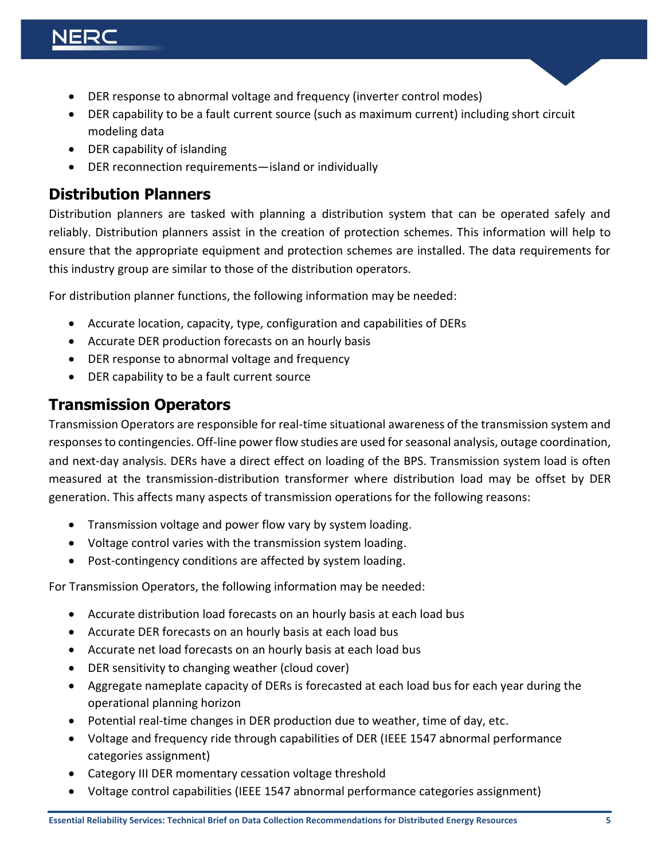### ERC

- DER response to abnormal voltage and frequency (inverter control modes)
- DER capability to be a fault current source (such as maximum current) including short circuit modeling data
- DER capability of islanding
- DER reconnection requirements—island or individually

#### **Distribution Planners**

Distribution planners are tasked with planning a distribution system that can be operated safely and reliably. Distribution planners assist in the creation of protection schemes. This information will help to ensure that the appropriate equipment and protection schemes are installed. The data requirements for this industry group are similar to those of the distribution operators.

For distribution planner functions, the following information may be needed:

- Accurate location, capacity, type, configuration and capabilities of DERs
- Accurate DER production forecasts on an hourly basis
- DER response to abnormal voltage and frequency
- DER capability to be a fault current source

### **Transmission Operators**

Transmission Operators are responsible for real-time situational awareness of the transmission system and responses to contingencies. Off-line power flow studies are used for seasonal analysis, outage coordination, and next-day analysis. DERs have a direct effect on loading of the BPS. Transmission system load is often measured at the transmission-distribution transformer where distribution load may be offset by DER generation. This affects many aspects of transmission operations for the following reasons:

- Transmission voltage and power flow vary by system loading.
- Voltage control varies with the transmission system loading.
- Post-contingency conditions are affected by system loading.

For Transmission Operators, the following information may be needed:

- Accurate distribution load forecasts on an hourly basis at each load bus
- Accurate DER forecasts on an hourly basis at each load bus
- Accurate net load forecasts on an hourly basis at each load bus
- DER sensitivity to changing weather (cloud cover)
- Aggregate nameplate capacity of DERs is forecasted at each load bus for each year during the operational planning horizon
- Potential real-time changes in DER production due to weather, time of day, etc.
- Voltage and frequency ride through capabilities of DER (IEEE 1547 abnormal performance categories assignment)
- Category III DER momentary cessation voltage threshold
- Voltage control capabilities (IEEE 1547 abnormal performance categories assignment)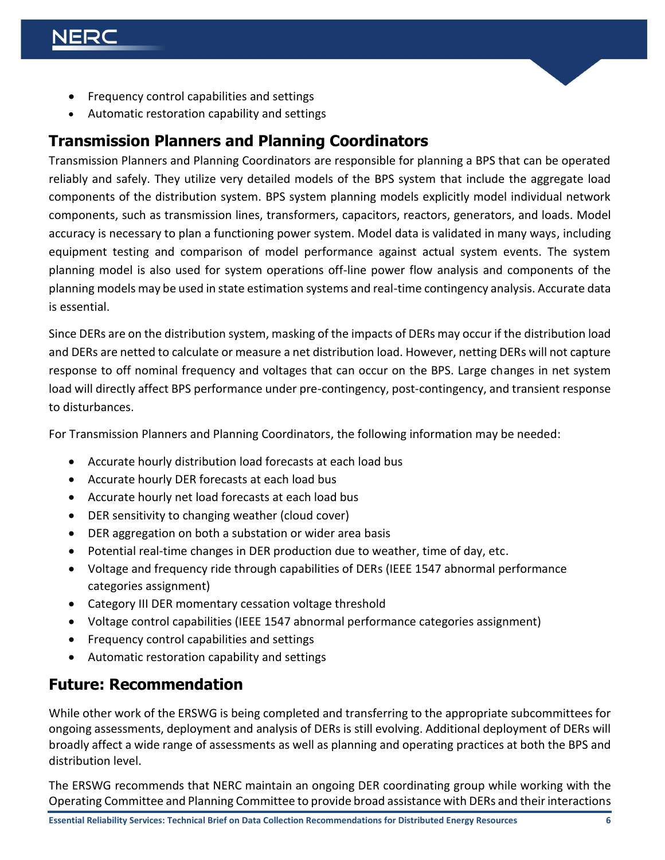- Frequency control capabilities and settings
- Automatic restoration capability and settings

#### **Transmission Planners and Planning Coordinators**

Transmission Planners and Planning Coordinators are responsible for planning a BPS that can be operated reliably and safely. They utilize very detailed models of the BPS system that include the aggregate load components of the distribution system. BPS system planning models explicitly model individual network components, such as transmission lines, transformers, capacitors, reactors, generators, and loads. Model accuracy is necessary to plan a functioning power system. Model data is validated in many ways, including equipment testing and comparison of model performance against actual system events. The system planning model is also used for system operations off-line power flow analysis and components of the planning models may be used in state estimation systems and real-time contingency analysis. Accurate data is essential.

Since DERs are on the distribution system, masking of the impacts of DERs may occur if the distribution load and DERs are netted to calculate or measure a net distribution load. However, netting DERs will not capture response to off nominal frequency and voltages that can occur on the BPS. Large changes in net system load will directly affect BPS performance under pre-contingency, post-contingency, and transient response to disturbances.

For Transmission Planners and Planning Coordinators, the following information may be needed:

- Accurate hourly distribution load forecasts at each load bus
- Accurate hourly DER forecasts at each load bus
- Accurate hourly net load forecasts at each load bus
- DER sensitivity to changing weather (cloud cover)
- DER aggregation on both a substation or wider area basis
- Potential real-time changes in DER production due to weather, time of day, etc.
- Voltage and frequency ride through capabilities of DERs (IEEE 1547 abnormal performance categories assignment)
- Category III DER momentary cessation voltage threshold
- Voltage control capabilities (IEEE 1547 abnormal performance categories assignment)
- Frequency control capabilities and settings
- Automatic restoration capability and settings

### **Future: Recommendation**

While other work of the ERSWG is being completed and transferring to the appropriate subcommittees for ongoing assessments, deployment and analysis of DERs is still evolving. Additional deployment of DERs will broadly affect a wide range of assessments as well as planning and operating practices at both the BPS and distribution level.

The ERSWG recommends that NERC maintain an ongoing DER coordinating group while working with the Operating Committee and Planning Committee to provide broad assistance with DERs and their interactions